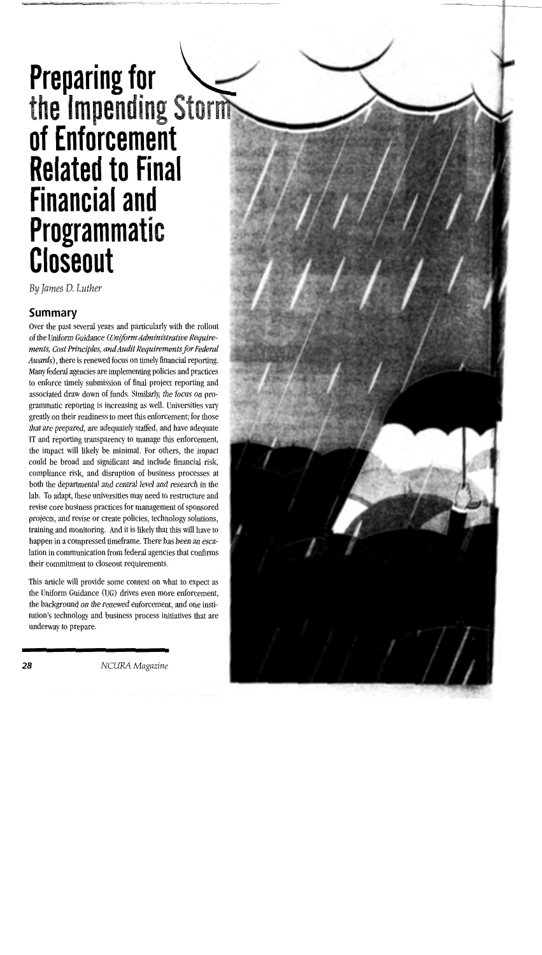# **Preparing for the Impending** Storm **of Enforcement Related to Final Financial and Programmatic Closeout**

By *James* D. *Luther* 

#### **Summary**

Over the past several years and particularly with the rollout of the Uniform Guidance *(Uniform Administrative Requirements, Cost Principles, and Audit Requirements for Federal Awards),* there is renewed focus on timely financial reporting. Many federal agencies are implementing policies and practices to enforce timely submission of final project reporting and associated draw down of funds. Similarly, the focus on programmatic reporting is increasing as well. Universities vary greatly on their readiness to meet this enforcement; for those that are prepared, are adequately staffed, and have adequate IT and reporting transparency to manage this enforcement, the impact will likely be minimal. For others, the impact could be broad and significant and include financial risk, compliance risk, and disruption of business processes at both the departmental and central level and research in the lab. To adapt, these universities may need to restructure and revise core business practices for management of sponsored projects, and revise or create policies, technology solutions, training and monitoring. And it is likely that this will have to happen in a compressed timeframe. There has been an escalation in communication from federal agencies that confirms their commitment to closeout requirements.

This article will provide some context on what to expect as the Uniform Guidance (UG) drives even more enforcement, the background on the renewed enforcement, and one institution's technology and business process initiatives that are underway to prepare.

**28** *NCURA Magazine*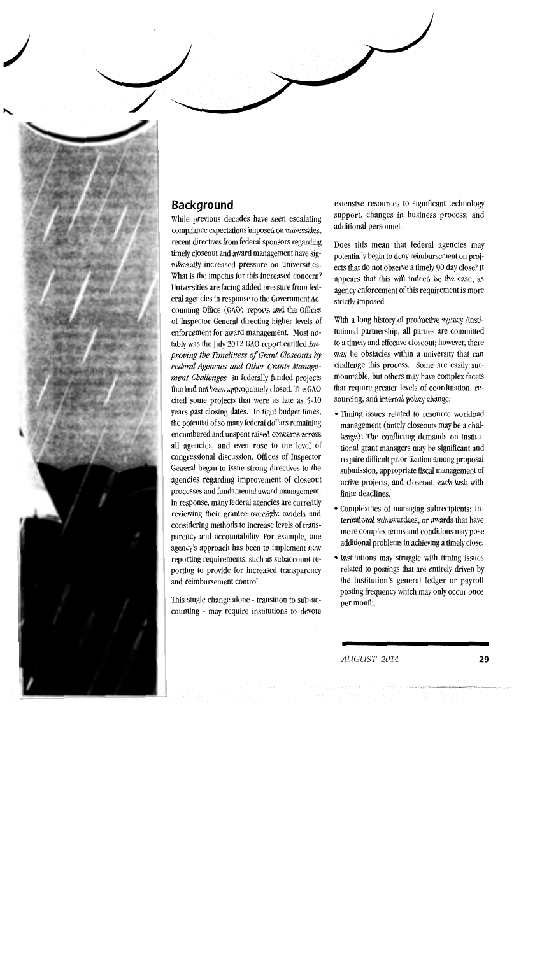### **Background**

)

While previous decades have seen escalating compliance expectations imposed on universities, recent directives from federal sponsors regarding timely closeout and award management have significantly increased pressure on universities. What is the impetus for this increased concern? Universities are facing added pressure from federal agencies in response to the Government Accounting Office (GAO) reports and the Offices of Inspector General directing higher levels of enforcement for award management. Most notably was the July 2012 GAO report entitled *Improving the Timeliness of Grant Closeouts by Federal Agencies and Other Grants Management Challenges* in federally funded projects that had not been appropriately closed. The GAO cited some projects that were as late as 5-10 years past closing dates. In tight budget times, the potential of so many federal dollars remaining encumbered and unspent raised concerns across all agencies, and even rose to the level of congressional discussion. Offices of Inspector General began to issue strong directives to the agencies regarding improvement of closeout processes and fundamental award management. In response, many federal agencies are currently reviewing their grantee oversight models and considering methods to increase levels of transparency and accountability. For example, one agency's approach has been to implement new reporting requirements, such as subaccount reporting to provide for increased transparency and reimbursement control.

This single change alone - transition to sub-accounting - may require institutions to devote extensive resources to significant technology support, changes in business process, and additional personnel.

Does this mean that federal agencies may potentially begin to deny reimbursement on projects that do not observe a timely 90 day close? It appears that this will indeed be the case, as agency enforcement of this requirement is more strictly imposed.

With a long history of productive agency /institutional partnership, all parties are committed to a timely and effective closeout; however, there may be obstacles within a university that can challenge this process. Some are easily surmountable, but others may have complex facets that require greater levels of coordination, resourcing, and internal policy change:

- Timing issues related to resource workload management (timely closeouts may be a challenge): The conflicting demands on institutional grant managers may be significant and require difficult prioritization among proposal submission, appropriate fiscal management of active projects, and closeout, each task with finite deadlines.
- Complexities of managing subrecipients: International subawardees, or awards that have more complex terms and conditions may pose additional problems in achieving a timely close.
- Institutions may struggle with timing issues related to postings that are entirely driven by the institution's general ledger or payroll posting frequency which may only occur once per month.

*AUGUST 2014* 29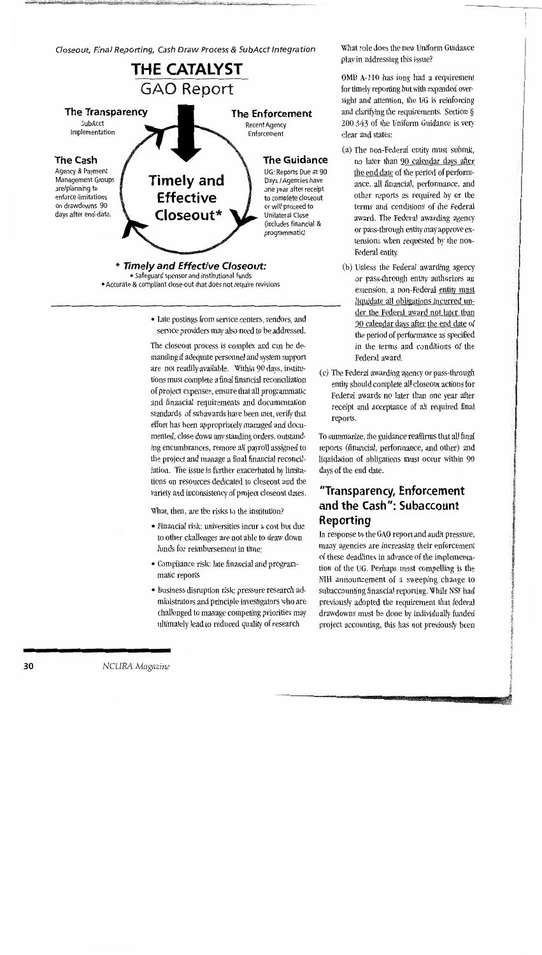Closeout, Final Reporting, Cash Draw Process & SubAcct Integration What role does the new Uniform Guidance



• Late postings from service centers, vendors, and service providers may also need to be addressed.

The closeout process is complex and can be demanding if adequate personnel and system support are not readily available. Within 90 days, institutions must complete a final financial reconciliation of project expenses, ensure that all programmatic and financial requirements and documentation standards of subawards have been met, verify that effort has been appropriately managed and documented, close down any standing orders, outstanding encumbrances, remove all payroll assigned to the project and manage a final financial reconciliation. The issue is further exacerbated by limitations on resources dedicated to closeout and the variety and inconsistency of project closeout dates.

What, then, are the risks to the institution?

- Financial risk: universities incur a cost but due to other challenges are not able to draw down funds for reimbursement in time;
- Compliance risk: late financial and programmatic reports
- Business disruption risk: pressure research administrators and principle investigators who are challenged to manage competing priorities may ultimately lead to reduced quality of research

play in addressing this issue?

OMB A-110 has long had a requirement for timely reporting but with expanded oversight and attention, the UG is reinforcing and clarifying the requirements. Section § 200.343 of the Uniform Guidance is very clear and states:

- (a) The non-Federal entity must submit, no later than 90 calendar days after the end date of the period of performance, all financial, performance, and other reports as required by or the terms and conditions of the Federal award. The Federal awarding agency or pass-through entity may approve extensions when requested by the non-Federal entity.
- (b) Unless the Federal awarding agency or pass-through entity authorizes an extension, a non-Federal entity must liquidate all obligations incurred under the Federal award not later than 90 calendar days after the end date of the period of performance as specified in the terms and conditions of the Federal award.
- (c) The Federal awarding agency or pass-through entity should complete all closeout actions for Federal awards no later than one year after receipt and acceptance of all required final reports.

To summarize, the guidance reaffirms that all final reports (financial, performance, and other) and liquidation of obligations must occur within 90 days of the end date.

#### **"Transparency, Enforcement and the Cash": Subaccount Reporting**

In response to the GAO report and audit pressure, many agencies are increasing their enforcement of these deadlines in advance of the implementation of the UG. Perhaps most compelling is the NIH announcement of a sweeping change to subaccounting financial reporting. While NSF had previously adopted the requirement that federal drawdowns must be done by individually funded project accounting, this has not previously been

=

*NCURA Magazine*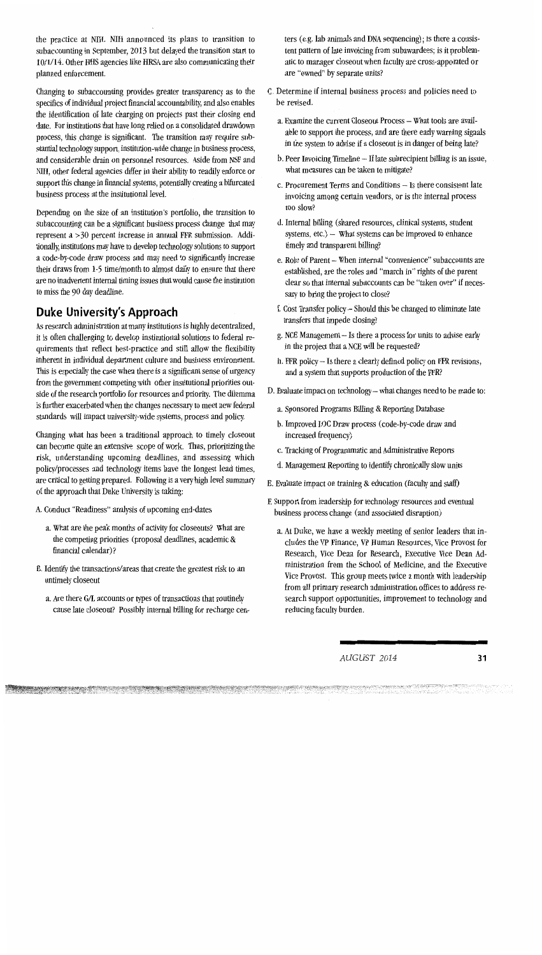the practice at NIH. NIH announced its plans to transition to subaccounting in September, 2013 but delayed the transition start to 10/1/14. Other HHS agencies like HRSA are also communicating their planned enforcement.

Changing to subaccounting provides greater transparency as to the specifics of individual project financial accountability, and also enables the identification of late charging on projects past their closing end date. For institutions that have long relied on a consolidated drawdown process, this change is significant. The transition may require substantial technology support, institution-wide change in business process, and considerable drain on personnel resources. Aside from NSF and NIH, other federal agencies differ in their ability to readily enforce or support this change in financial systems, potentially creating a bifurcated business process at the institutional level.

Depending on the size of an institution's portfolio, the transition to subaccounting can be a significant business process change that may represent a >30 percent increase in annual FFR submission. Additionally, institutions may have to develop technology solutions to support a code-by-code draw process and may need to significantly increase their draws from 1-5 time/month to almost daily to ensure that there are no inadvertent internal timing issues that would cause the institution to miss the 90 day deadline.

#### **Duke University's Approach**

As research administration at many institutions is highly decentralized, it is often challenging to develop institutional solutions to federal requirements that reflect best-practice and still allow the flexibility inherent in individual department culture and business environment. This is especially the case when there is a significant sense of urgency from the government competing with other institutional priorities outside of the research portfolio for resources and priority. The dilemma is further exacerbated when the changes necessary to meet new federal standards will impact university-wide systems, process and policy.

Changing what has been a traditional approach to timely closeout can become quite an extensive scope of work. Thus, prioritizing the risk, understanding upcoming deadlines, and assessing which policy/processes and technology items have the longest lead times, are critical to getting prepared. Following is a very high level summary of the approach that Duke University is taking:

- A. Conduct "Readiness" analysis of upcoming end-dates
	- a. What are the peak months of activity for closeouts? What are the competing priorities (proposal deadlines, academic & financial calendar)?
- B. Identify the transactions/areas that create the greatest risk to an untimely closeout
	- a. Are there GIL accounts or types of transactions that routinely cause late closeout? Possibly internal billing for recharge cen-

**National Management Companies in the Companies of the Companies Companies in the Companies of Companies of The Co<br>The Companies of the Companies of the Companies of the Companies of the Companies of the Companies of the C** 

ters (e.g. lab animals and DNA sequencing); is there a consistent pattern of late invoicing from subawardees; is it problematic to manager closeout when faculty are cross-appointed or are "owned" by separate units?

- C. Determine if internal business process and policies need to be revised.
	- a. Examine the current Closeout Process What tools are available to support the process, and are there early warning signals in the system to advise if a closeout is in danger of being late?
	- b. Peer Invoicing Timeline If late subrecipient billing is an issue, what measures can be taken to mitigate?
	- c. Procurement Terms and Conditions Is there consistent late invoicing among certain vendors, or is the internal process too slow?
	- d. Internal billing (shared resources, clinical systems, student systems,  $etc.$ )  $-$  What systems can be improved to enhance timely and transparent billing?
	- e. Role of Parent When internal "convenience" subaccounts are established, are the roles and "march in" rights of the parent clear so that internal subaccounts can be "taken over" if necessary to bring the project to close?
	- f. Cost Transfer policy Should this be changed to eliminate late transfers that impede closing?
	- g. NCE Management Is there a process for units to advise early in the project that a NCE will be requested?
	- h. FFR policy- Is there a clearly defined policy on FFR revisions, and a system that supports production of the FFR?
- D. Evaluate impact on technology-what changes need to be made to:
	- a. Sponsored Programs Billing & Reporting Database
	- b. Improved LOC Draw process (code-by-code draw and increased frequency)
	- c. Tracking of Programmatic and Administrative Reports
	- d. Management Reporting to identify chronically slow units
- E. Evaluate impact on training & education (faculty and staff)
- F. Support from leadership for technology resources and eventual business process change (and associated disruption)
	- a. At Duke, we have a weekly meeting of senior leaders that includes the VP Finance, VP Human Resources, Vice Provost for Research, Vice Dean for Research, Executive Vice Dean Administration from the School of Medicine, and the Executive Vice Provost. This group meets twice a month with leadership from all primary research administration offices to address research support opportunities, improvement to technology and reducing faculty burden.

*AUGUST 2014* 31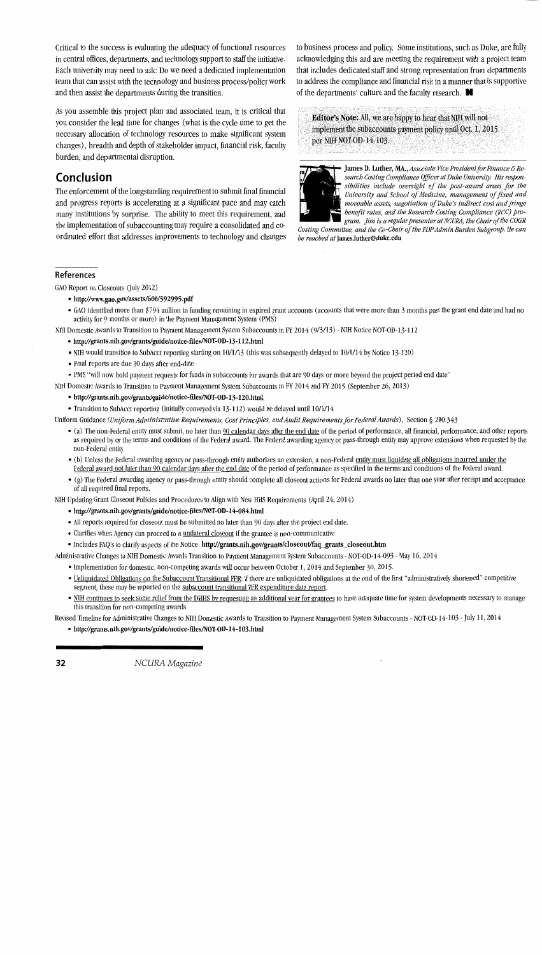Critical to the success is evaluating the adequacy of functional resources in central offices, departments, and technology support to staff the initiative. Each university may need to ask: Do we need a dedicated implementation team that can assist with the technology and business process/policy work and then assist the departments during the transition.

As you assemble this project plan and associated team, it is critical that you consider the lead time for changes (what is the cycle time to get the necessary allocation of technology resources to make significant system changes), breadth and depth of stakeholder impact, financial risk, faculty burden, and departmental disruption.

#### **Conclusion**

The enforcement of the longstanding requirement to submit final financial and progress reports is accelerating at a significant pace and may catch many institutions by surprise. The ability to meet this requirement, and the implementation of subaccounting may require a consolidated and coordinated effort that addresses improvements to technology and changes to business process and policy. Some institutions, such as Duke, are fully acknowledging this and are meeting the requirement with a project team that includes dedicated staff and strong representation from departments to address the compliance and financial risk in a manner that is supportive of the departments' culture and the faculty research. **ti** 

Editor's Note: All, we are happy to hear that NIH will not implement the subaccounts payment policy until Oct. 1, 2015 per NIH NOT-OD-14-103.



James D. Luther, MA., *Associate Vice President for Finance* & *Re*search Costing Compliance Officer at Duke University. His respon*sibilities include oversight of the post-award areas for the University and School of Medicine, management of fixed and moveable assets, negotiation of Duke's indirect cost and fringe benefit rates, and the Research Costing Compliance (RCC) program. Jim* is *a regular presenter at NC URA, the Chair of the COGR* 

*Costing Committee, and the Co-Chair of the PDP Admin Burden Subgroup. He can be reached at* james.luther@duke.edu

#### References

GAO Report on Closeouts (July 2012)

- http://www.gao.gov/assets/600/592995.pdf
- GAO identified more than \$794 million in funding remaining in expired grant accounts (accounts that were more than 3 months past the grant end date and had no activity for 9 months or more) in the Payment Management System (PMS)
- NIH Domestic Awards to Transition to Payment Management System Subaccounts in FY 2014 (9/3113) NIH Notice NOT-OD-13-112
	- http://grants.nih.gov/grants/guide/notice-files/NOT-OD-13-112.html
	- NIH would transition to SubAcct reporting starting on 10/1/13 (this was subsequently delayed to 10/1/14 by Notice 13-120)
	- Final reports are due 90 days after end-date
	- PMS "will now hold payment requests for funds in subaccounts for awards that are 90 days or more beyond the project period end date"
- NIH Domestic Awards to Transition to Payment Management System Subaccounts in FY 2014 and FY 2015 (September 26, 2013)
	- http://grants.nih.gov/grants/guide/notice-files/NOT-OD-13-120.html
	- Transition to SubAcct reporting (initially conveyed via 13-112) would be delayed until 10/1/14
- Uniform Guidance *(Uniform Administrative Requirements, Cost Principles, and Audit Requirements for Federal Awards),* Section § 200.343
	- (a) The non-Federal entity must submit, no later than 90 calendar days after the end date of the period of performance, all financial, performance, and other reports as required by or the terms and conditions of the Federal award. The Federal awarding agency or pass-through entity may approve extensions when requested by the non-Federal entity.
	- (b) Unless the Federal awarding agency or pass-through entity authorizes an extension, a non-Federal entity must liquidate all obligations incurred under the Federal award not later than 90 calendar days after the end date of the period of performance as specified in the terms and conditions of the Federal award.
	- (g) The Federal awarding agency or pass-through entity should complete all closeout actions for Federal awards no later than one year after receipt and acceptance of all required final reports.

NIH Updating Grant Closeout Policies and Procedures to Align with New HHS Requirements (April 24, 2014)

• http://grants.nih.gov/grants/guide/notice-files/NOT-OD-14-084.html

- All reports required for closeout must be submitted no later than 90 days after the project end date.
- Clarifies when Agency can proceed to a *unilateral closeout* if the grantee is non-communicative
- Includes FAQ's to clarify aspects of the Notice http://grants.nih.gov/grants/closeout/faq\_grants\_closeout.htm

Administrative Changes to NIH Domestic Awards Transition to Payment Management System Subaccounts - NOT-OD-14-093 - May 16, 2014

- Implementation for domestic, non-competing awards will occur between October 1, 2014 and September 30, 2015.
- Unliquidated Obligations on the Subaccount Transitional FFR: if there are unliquidated obligations at the end of the first "administratively shortened" competitive segment, these may be reported on the subaccount transitional FFR expenditure data report.
- NIH continues to seek some relief from the DHHS by requesting an additional year for grantees to have adequate time for system developments necessary to manage this transition for non-competing awards

Revised Timeline for Administrative Changes to NIH Domestic Awards to Transition to Payment Management System Subaccounts - NOT-OD-14-103 -July 11, 2014

• http://grants.nih.gov/grants/guide/notice-files/NOT-OD-14-103.html

32 *NCURA Magazine*